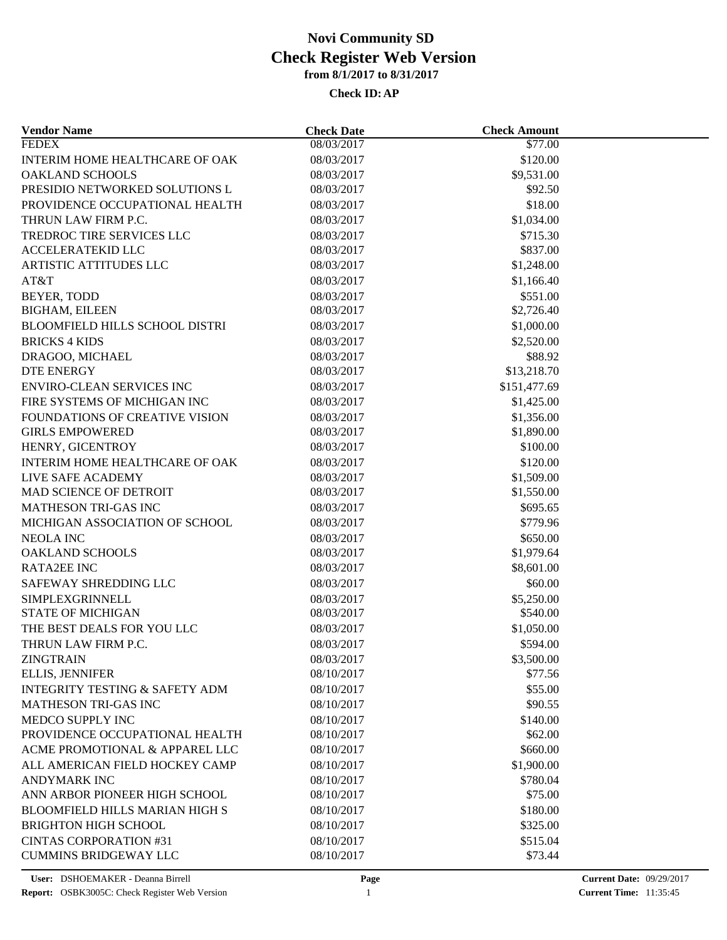| <b>Vendor Name</b>                          | <b>Check Date</b>        | <b>Check Amount</b>      |  |
|---------------------------------------------|--------------------------|--------------------------|--|
| <b>FEDEX</b>                                | 08/03/2017               | \$77.00                  |  |
| INTERIM HOME HEALTHCARE OF OAK              | 08/03/2017               | \$120.00                 |  |
| <b>OAKLAND SCHOOLS</b>                      | 08/03/2017               | \$9,531.00               |  |
| PRESIDIO NETWORKED SOLUTIONS L              | 08/03/2017               | \$92.50                  |  |
| PROVIDENCE OCCUPATIONAL HEALTH              | 08/03/2017               | \$18.00                  |  |
| THRUN LAW FIRM P.C.                         | 08/03/2017               | \$1,034.00               |  |
| <b>TREDROC TIRE SERVICES LLC</b>            | 08/03/2017               | \$715.30                 |  |
| <b>ACCELERATEKID LLC</b>                    | 08/03/2017               | \$837.00                 |  |
| <b>ARTISTIC ATTITUDES LLC</b>               | 08/03/2017               | \$1,248.00               |  |
| AT&T                                        | 08/03/2017               | \$1,166.40               |  |
| BEYER, TODD                                 | 08/03/2017               | \$551.00                 |  |
| <b>BIGHAM, EILEEN</b>                       | 08/03/2017               | \$2,726.40               |  |
| <b>BLOOMFIELD HILLS SCHOOL DISTRI</b>       | 08/03/2017               | \$1,000.00               |  |
| <b>BRICKS 4 KIDS</b>                        | 08/03/2017               | \$2,520.00               |  |
| DRAGOO, MICHAEL                             | 08/03/2017               | \$88.92                  |  |
| <b>DTE ENERGY</b>                           | 08/03/2017               | \$13,218.70              |  |
| <b>ENVIRO-CLEAN SERVICES INC</b>            | 08/03/2017               | \$151,477.69             |  |
| FIRE SYSTEMS OF MICHIGAN INC                | 08/03/2017               | \$1,425.00               |  |
| <b>FOUNDATIONS OF CREATIVE VISION</b>       | 08/03/2017               | \$1,356.00               |  |
| <b>GIRLS EMPOWERED</b>                      | 08/03/2017               | \$1,890.00               |  |
| HENRY, GICENTROY                            | 08/03/2017               | \$100.00                 |  |
| INTERIM HOME HEALTHCARE OF OAK              | 08/03/2017               | \$120.00                 |  |
|                                             |                          |                          |  |
| LIVE SAFE ACADEMY<br>MAD SCIENCE OF DETROIT | 08/03/2017<br>08/03/2017 | \$1,509.00<br>\$1,550.00 |  |
| MATHESON TRI-GAS INC                        |                          |                          |  |
|                                             | 08/03/2017               | \$695.65                 |  |
| MICHIGAN ASSOCIATION OF SCHOOL              | 08/03/2017               | \$779.96                 |  |
| NEOLA INC                                   | 08/03/2017               | \$650.00                 |  |
| <b>OAKLAND SCHOOLS</b>                      | 08/03/2017               | \$1,979.64               |  |
| <b>RATA2EE INC</b>                          | 08/03/2017               | \$8,601.00               |  |
| SAFEWAY SHREDDING LLC                       | 08/03/2017               | \$60.00                  |  |
| <b>SIMPLEXGRINNELL</b>                      | 08/03/2017               | \$5,250.00               |  |
| <b>STATE OF MICHIGAN</b>                    | 08/03/2017               | \$540.00                 |  |
| THE BEST DEALS FOR YOU LLC                  | 08/03/2017               | \$1,050.00               |  |
| THRUN LAW FIRM P.C.                         | 08/03/2017               | \$594.00                 |  |
| ZINGTRAIN                                   | 08/03/2017               | \$3,500.00               |  |
| <b>ELLIS, JENNIFER</b>                      | 08/10/2017               | \$77.56                  |  |
| <b>INTEGRITY TESTING &amp; SAFETY ADM</b>   | 08/10/2017               | \$55.00                  |  |
| <b>MATHESON TRI-GAS INC</b>                 | 08/10/2017               | \$90.55                  |  |
| MEDCO SUPPLY INC                            | 08/10/2017               | \$140.00                 |  |
| PROVIDENCE OCCUPATIONAL HEALTH              | 08/10/2017               | \$62.00                  |  |
| ACME PROMOTIONAL & APPAREL LLC              | 08/10/2017               | \$660.00                 |  |
| ALL AMERICAN FIELD HOCKEY CAMP              | 08/10/2017               | \$1,900.00               |  |
| <b>ANDYMARK INC</b>                         | 08/10/2017               | \$780.04                 |  |
| ANN ARBOR PIONEER HIGH SCHOOL               | 08/10/2017               | \$75.00                  |  |
| <b>BLOOMFIELD HILLS MARIAN HIGH S</b>       | 08/10/2017               | \$180.00                 |  |
| <b>BRIGHTON HIGH SCHOOL</b>                 | 08/10/2017               | \$325.00                 |  |
| <b>CINTAS CORPORATION #31</b>               | 08/10/2017               | \$515.04                 |  |
| <b>CUMMINS BRIDGEWAY LLC</b>                | 08/10/2017               | \$73.44                  |  |
|                                             |                          |                          |  |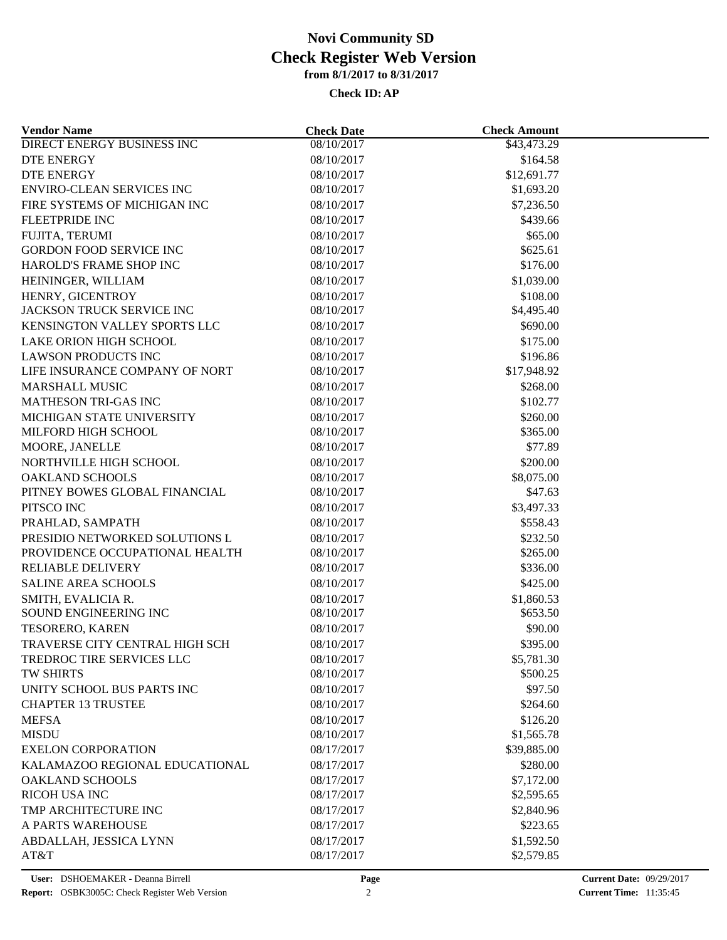| <b>Vendor Name</b>                | <b>Check Date</b> | <b>Check Amount</b>    |  |
|-----------------------------------|-------------------|------------------------|--|
| <b>DIRECT ENERGY BUSINESS INC</b> | 08/10/2017        | \$43,473.29            |  |
| DTE ENERGY                        | 08/10/2017        | \$164.58               |  |
| <b>DTE ENERGY</b>                 | 08/10/2017        | \$12,691.77            |  |
| <b>ENVIRO-CLEAN SERVICES INC</b>  | 08/10/2017        | \$1,693.20             |  |
| FIRE SYSTEMS OF MICHIGAN INC      | 08/10/2017        | \$7,236.50             |  |
| <b>FLEETPRIDE INC</b>             | 08/10/2017        | \$439.66               |  |
| FUJITA, TERUMI                    | 08/10/2017        | \$65.00                |  |
| <b>GORDON FOOD SERVICE INC</b>    | 08/10/2017        | \$625.61               |  |
| HAROLD'S FRAME SHOP INC           | 08/10/2017        | \$176.00               |  |
| HEININGER, WILLIAM                | 08/10/2017        | \$1,039.00             |  |
| HENRY, GICENTROY                  | 08/10/2017        | \$108.00               |  |
| JACKSON TRUCK SERVICE INC         | 08/10/2017        | \$4,495.40             |  |
| KENSINGTON VALLEY SPORTS LLC      | 08/10/2017        | \$690.00               |  |
| LAKE ORION HIGH SCHOOL            | 08/10/2017        | \$175.00               |  |
| <b>LAWSON PRODUCTS INC</b>        | 08/10/2017        | \$196.86               |  |
| LIFE INSURANCE COMPANY OF NORT    | 08/10/2017        | \$17,948.92            |  |
| <b>MARSHALL MUSIC</b>             | 08/10/2017        | \$268.00               |  |
| <b>MATHESON TRI-GAS INC</b>       | 08/10/2017        | \$102.77               |  |
| MICHIGAN STATE UNIVERSITY         | 08/10/2017        | \$260.00               |  |
| MILFORD HIGH SCHOOL               | 08/10/2017        | \$365.00               |  |
| MOORE, JANELLE                    | 08/10/2017        | \$77.89                |  |
| NORTHVILLE HIGH SCHOOL            | 08/10/2017        | \$200.00               |  |
| <b>OAKLAND SCHOOLS</b>            | 08/10/2017        | \$8,075.00             |  |
| PITNEY BOWES GLOBAL FINANCIAL     | 08/10/2017        | \$47.63                |  |
| PITSCO INC                        | 08/10/2017        | \$3,497.33             |  |
| PRAHLAD, SAMPATH                  | 08/10/2017        | \$558.43               |  |
| PRESIDIO NETWORKED SOLUTIONS L    | 08/10/2017        | \$232.50               |  |
| PROVIDENCE OCCUPATIONAL HEALTH    | 08/10/2017        | \$265.00               |  |
| <b>RELIABLE DELIVERY</b>          | 08/10/2017        | \$336.00               |  |
| <b>SALINE AREA SCHOOLS</b>        | 08/10/2017        | \$425.00               |  |
| SMITH, EVALICIA R.                | 08/10/2017        | \$1,860.53             |  |
| SOUND ENGINEERING INC             | 08/10/2017        | \$653.50               |  |
| TESORERO, KAREN                   | 08/10/2017        | \$90.00                |  |
| TRAVERSE CITY CENTRAL HIGH SCH    | 08/10/2017        | \$395.00               |  |
| TREDROC TIRE SERVICES LLC         | 08/10/2017        | \$5,781.30             |  |
| TW SHIRTS                         | 08/10/2017        | \$500.25               |  |
| UNITY SCHOOL BUS PARTS INC        | 08/10/2017        | \$97.50                |  |
| <b>CHAPTER 13 TRUSTEE</b>         | 08/10/2017        | \$264.60               |  |
| <b>MEFSA</b>                      | 08/10/2017        |                        |  |
| <b>MISDU</b>                      | 08/10/2017        | \$126.20<br>\$1,565.78 |  |
| <b>EXELON CORPORATION</b>         | 08/17/2017        | \$39,885.00            |  |
|                                   |                   |                        |  |
| KALAMAZOO REGIONAL EDUCATIONAL    | 08/17/2017        | \$280.00               |  |
| <b>OAKLAND SCHOOLS</b>            | 08/17/2017        | \$7,172.00             |  |
| RICOH USA INC                     | 08/17/2017        | \$2,595.65             |  |
| TMP ARCHITECTURE INC              | 08/17/2017        | \$2,840.96             |  |
| A PARTS WAREHOUSE                 | 08/17/2017        | \$223.65               |  |
| ABDALLAH, JESSICA LYNN            | 08/17/2017        | \$1,592.50             |  |
| AT&T                              | 08/17/2017        | \$2,579.85             |  |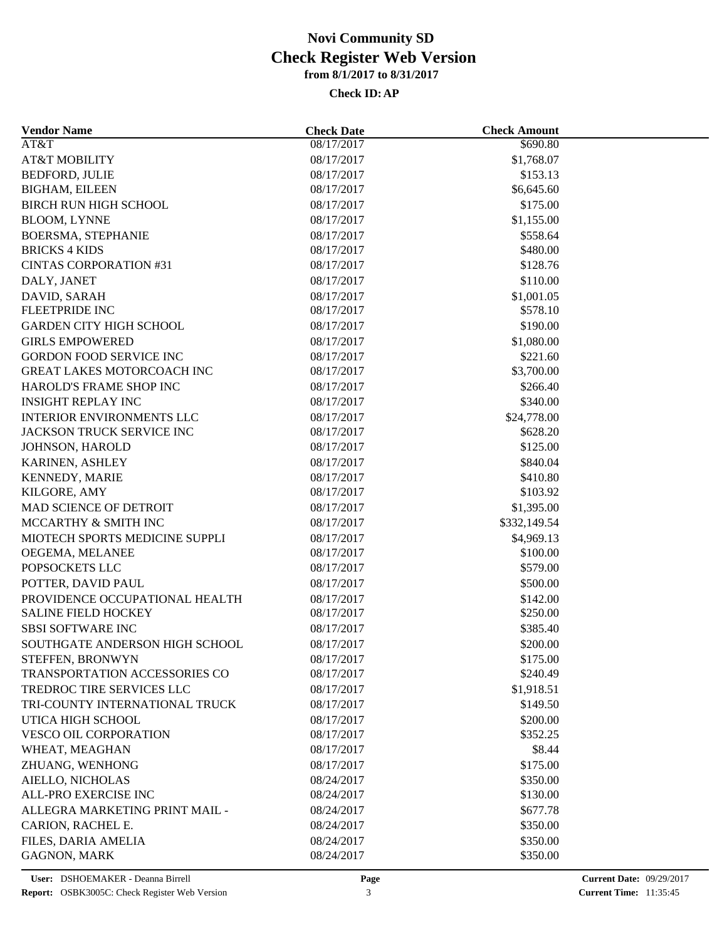| <b>Vendor Name</b>                                | <b>Check Date</b> | <b>Check Amount</b> |  |
|---------------------------------------------------|-------------------|---------------------|--|
| AT&T                                              | 08/17/2017        | \$690.80            |  |
| <b>AT&amp;T MOBILITY</b>                          | 08/17/2017        | \$1,768.07          |  |
| BEDFORD, JULIE                                    | 08/17/2017        | \$153.13            |  |
| <b>BIGHAM, EILEEN</b>                             | 08/17/2017        | \$6,645.60          |  |
| BIRCH RUN HIGH SCHOOL                             | 08/17/2017        | \$175.00            |  |
| <b>BLOOM, LYNNE</b>                               | 08/17/2017        | \$1,155.00          |  |
| BOERSMA, STEPHANIE                                | 08/17/2017        | \$558.64            |  |
| <b>BRICKS 4 KIDS</b>                              | 08/17/2017        | \$480.00            |  |
| <b>CINTAS CORPORATION #31</b>                     | 08/17/2017        | \$128.76            |  |
| DALY, JANET                                       | 08/17/2017        | \$110.00            |  |
| DAVID, SARAH                                      | 08/17/2017        | \$1,001.05          |  |
| FLEETPRIDE INC                                    | 08/17/2017        | \$578.10            |  |
| <b>GARDEN CITY HIGH SCHOOL</b>                    | 08/17/2017        | \$190.00            |  |
| <b>GIRLS EMPOWERED</b>                            | 08/17/2017        | \$1,080.00          |  |
| <b>GORDON FOOD SERVICE INC</b>                    | 08/17/2017        | \$221.60            |  |
| GREAT LAKES MOTORCOACH INC                        | 08/17/2017        | \$3,700.00          |  |
| HAROLD'S FRAME SHOP INC                           | 08/17/2017        | \$266.40            |  |
| <b>INSIGHT REPLAY INC</b>                         | 08/17/2017        | \$340.00            |  |
| <b>INTERIOR ENVIRONMENTS LLC</b>                  | 08/17/2017        | \$24,778.00         |  |
| JACKSON TRUCK SERVICE INC                         | 08/17/2017        | \$628.20            |  |
| JOHNSON, HAROLD                                   | 08/17/2017        | \$125.00            |  |
| KARINEN, ASHLEY                                   | 08/17/2017        | \$840.04            |  |
| KENNEDY, MARIE                                    | 08/17/2017        | \$410.80            |  |
| KILGORE, AMY                                      | 08/17/2017        | \$103.92            |  |
| MAD SCIENCE OF DETROIT                            | 08/17/2017        | \$1,395.00          |  |
| MCCARTHY & SMITH INC                              | 08/17/2017        | \$332,149.54        |  |
| MIOTECH SPORTS MEDICINE SUPPLI                    | 08/17/2017        | \$4,969.13          |  |
| OEGEMA, MELANEE                                   | 08/17/2017        | \$100.00            |  |
| POPSOCKETS LLC                                    | 08/17/2017        | \$579.00            |  |
| POTTER, DAVID PAUL                                | 08/17/2017        | \$500.00            |  |
| PROVIDENCE OCCUPATIONAL HEALTH                    | 08/17/2017        | \$142.00            |  |
| <b>SALINE FIELD HOCKEY</b>                        | 08/17/2017        | \$250.00            |  |
| <b>SBSI SOFTWARE INC</b>                          | 08/17/2017        | \$385.40            |  |
| SOUTHGATE ANDERSON HIGH SCHOOL                    | 08/17/2017        | \$200.00            |  |
|                                                   | 08/17/2017        | \$175.00            |  |
| STEFFEN, BRONWYN<br>TRANSPORTATION ACCESSORIES CO | 08/17/2017        | \$240.49            |  |
| TREDROC TIRE SERVICES LLC                         | 08/17/2017        | \$1,918.51          |  |
| TRI-COUNTY INTERNATIONAL TRUCK                    | 08/17/2017        |                     |  |
|                                                   |                   | \$149.50            |  |
| UTICA HIGH SCHOOL                                 | 08/17/2017        | \$200.00            |  |
| VESCO OIL CORPORATION                             | 08/17/2017        | \$352.25            |  |
| WHEAT, MEAGHAN                                    | 08/17/2017        | \$8.44              |  |
| ZHUANG, WENHONG                                   | 08/17/2017        | \$175.00            |  |
| AIELLO, NICHOLAS                                  | 08/24/2017        | \$350.00            |  |
| ALL-PRO EXERCISE INC                              | 08/24/2017        | \$130.00            |  |
| ALLEGRA MARKETING PRINT MAIL -                    | 08/24/2017        | \$677.78            |  |
| CARION, RACHEL E.                                 | 08/24/2017        | \$350.00            |  |
| FILES, DARIA AMELIA                               | 08/24/2017        | \$350.00            |  |
| GAGNON, MARK                                      | 08/24/2017        | \$350.00            |  |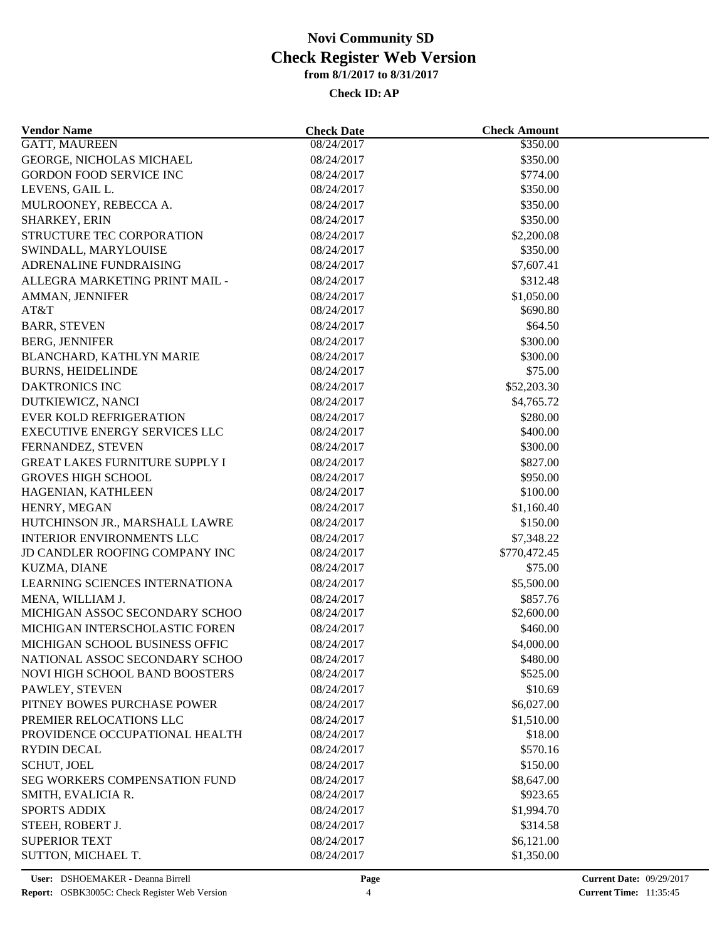| <b>Vendor Name</b>                    | <b>Check Date</b>        | <b>Check Amount</b> |  |
|---------------------------------------|--------------------------|---------------------|--|
| <b>GATT, MAUREEN</b>                  | 08/24/2017               | \$350.00            |  |
| GEORGE, NICHOLAS MICHAEL              | 08/24/2017               | \$350.00            |  |
| <b>GORDON FOOD SERVICE INC</b>        | 08/24/2017               | \$774.00            |  |
| LEVENS, GAIL L.                       | 08/24/2017               | \$350.00            |  |
| MULROONEY, REBECCA A.                 | 08/24/2017               | \$350.00            |  |
| <b>SHARKEY, ERIN</b>                  | 08/24/2017               | \$350.00            |  |
| STRUCTURE TEC CORPORATION             | 08/24/2017               | \$2,200.08          |  |
| SWINDALL, MARYLOUISE                  | 08/24/2017               | \$350.00            |  |
| ADRENALINE FUNDRAISING                | 08/24/2017               | \$7,607.41          |  |
| ALLEGRA MARKETING PRINT MAIL -        | 08/24/2017               | \$312.48            |  |
| AMMAN, JENNIFER                       | 08/24/2017               | \$1,050.00          |  |
| AT&T                                  | 08/24/2017               | \$690.80            |  |
| <b>BARR, STEVEN</b>                   | 08/24/2017               | \$64.50             |  |
| <b>BERG, JENNIFER</b>                 | 08/24/2017               | \$300.00            |  |
| BLANCHARD, KATHLYN MARIE              | 08/24/2017               | \$300.00            |  |
| <b>BURNS, HEIDELINDE</b>              | 08/24/2017               | \$75.00             |  |
| DAKTRONICS INC                        | 08/24/2017               | \$52,203.30         |  |
| DUTKIEWICZ, NANCI                     | 08/24/2017               | \$4,765.72          |  |
| <b>EVER KOLD REFRIGERATION</b>        | 08/24/2017               | \$280.00            |  |
| EXECUTIVE ENERGY SERVICES LLC         | 08/24/2017               | \$400.00            |  |
| FERNANDEZ, STEVEN                     | 08/24/2017               | \$300.00            |  |
| <b>GREAT LAKES FURNITURE SUPPLY I</b> | 08/24/2017               | \$827.00            |  |
| <b>GROVES HIGH SCHOOL</b>             |                          | \$950.00            |  |
| HAGENIAN, KATHLEEN                    | 08/24/2017<br>08/24/2017 | \$100.00            |  |
|                                       | 08/24/2017               | \$1,160.40          |  |
| HENRY, MEGAN                          |                          |                     |  |
| HUTCHINSON JR., MARSHALL LAWRE        | 08/24/2017               | \$150.00            |  |
| <b>INTERIOR ENVIRONMENTS LLC</b>      | 08/24/2017               | \$7,348.22          |  |
| JD CANDLER ROOFING COMPANY INC        | 08/24/2017               | \$770,472.45        |  |
| KUZMA, DIANE                          | 08/24/2017               | \$75.00             |  |
| LEARNING SCIENCES INTERNATIONA        | 08/24/2017               | \$5,500.00          |  |
| MENA, WILLIAM J.                      | 08/24/2017               | \$857.76            |  |
| MICHIGAN ASSOC SECONDARY SCHOO        | 08/24/2017               | \$2,600.00          |  |
| MICHIGAN INTERSCHOLASTIC FOREN        | 08/24/2017               | \$460.00            |  |
| MICHIGAN SCHOOL BUSINESS OFFIC        | 08/24/2017               | \$4,000.00          |  |
| NATIONAL ASSOC SECONDARY SCHOO        | 08/24/2017               | \$480.00            |  |
| NOVI HIGH SCHOOL BAND BOOSTERS        | 08/24/2017               | \$525.00            |  |
| PAWLEY, STEVEN                        | 08/24/2017               | \$10.69             |  |
| PITNEY BOWES PURCHASE POWER           | 08/24/2017               | \$6,027.00          |  |
| PREMIER RELOCATIONS LLC               | 08/24/2017               | \$1,510.00          |  |
| PROVIDENCE OCCUPATIONAL HEALTH        | 08/24/2017               | \$18.00             |  |
| <b>RYDIN DECAL</b>                    | 08/24/2017               | \$570.16            |  |
| <b>SCHUT, JOEL</b>                    | 08/24/2017               | \$150.00            |  |
| SEG WORKERS COMPENSATION FUND         | 08/24/2017               | \$8,647.00          |  |
| SMITH, EVALICIA R.                    | 08/24/2017               | \$923.65            |  |
| <b>SPORTS ADDIX</b>                   | 08/24/2017               | \$1,994.70          |  |
| STEEH, ROBERT J.                      | 08/24/2017               | \$314.58            |  |
| <b>SUPERIOR TEXT</b>                  | 08/24/2017               | \$6,121.00          |  |
| SUTTON, MICHAEL T.                    | 08/24/2017               | \$1,350.00          |  |
|                                       |                          |                     |  |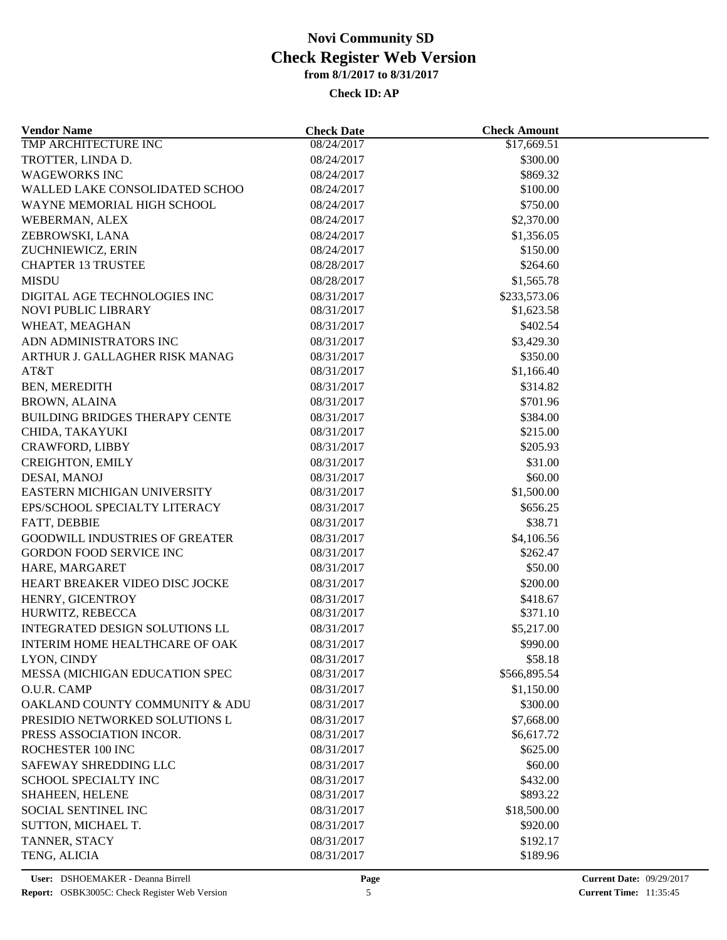| <b>Vendor Name</b>                          | <b>Check Date</b>        | <b>Check Amount</b>   |  |
|---------------------------------------------|--------------------------|-----------------------|--|
| TMP ARCHITECTURE INC                        | 08/24/2017               | \$17,669.51           |  |
| TROTTER, LINDA D.                           | 08/24/2017               | \$300.00              |  |
| <b>WAGEWORKS INC</b>                        | 08/24/2017               | \$869.32              |  |
| WALLED LAKE CONSOLIDATED SCHOO              | 08/24/2017               | \$100.00              |  |
| WAYNE MEMORIAL HIGH SCHOOL                  | 08/24/2017               | \$750.00              |  |
| WEBERMAN, ALEX                              | 08/24/2017               | \$2,370.00            |  |
| ZEBROWSKI, LANA                             | 08/24/2017               | \$1,356.05            |  |
| ZUCHNIEWICZ, ERIN                           | 08/24/2017               | \$150.00              |  |
| <b>CHAPTER 13 TRUSTEE</b>                   | 08/28/2017               | \$264.60              |  |
| <b>MISDU</b>                                | 08/28/2017               | \$1,565.78            |  |
| DIGITAL AGE TECHNOLOGIES INC                | 08/31/2017               | \$233,573.06          |  |
| <b>NOVI PUBLIC LIBRARY</b>                  | 08/31/2017               | \$1,623.58            |  |
| WHEAT, MEAGHAN                              | 08/31/2017               | \$402.54              |  |
| ADN ADMINISTRATORS INC                      | 08/31/2017               | \$3,429.30            |  |
| ARTHUR J. GALLAGHER RISK MANAG              | 08/31/2017               | \$350.00              |  |
| AT&T                                        | 08/31/2017               | \$1,166.40            |  |
| <b>BEN, MEREDITH</b>                        | 08/31/2017               | \$314.82              |  |
| <b>BROWN, ALAINA</b>                        | 08/31/2017               | \$701.96              |  |
| <b>BUILDING BRIDGES THERAPY CENTE</b>       | 08/31/2017               | \$384.00              |  |
| CHIDA, TAKAYUKI                             | 08/31/2017               | \$215.00              |  |
| CRAWFORD, LIBBY                             | 08/31/2017               | \$205.93              |  |
| <b>CREIGHTON, EMILY</b>                     | 08/31/2017               | \$31.00               |  |
|                                             |                          |                       |  |
| DESAI, MANOJ<br>EASTERN MICHIGAN UNIVERSITY | 08/31/2017<br>08/31/2017 | \$60.00<br>\$1,500.00 |  |
| EPS/SCHOOL SPECIALTY LITERACY               | 08/31/2017               | \$656.25              |  |
|                                             |                          |                       |  |
| FATT, DEBBIE                                | 08/31/2017               | \$38.71               |  |
| GOODWILL INDUSTRIES OF GREATER              | 08/31/2017               | \$4,106.56            |  |
| <b>GORDON FOOD SERVICE INC</b>              | 08/31/2017               | \$262.47              |  |
| HARE, MARGARET                              | 08/31/2017               | \$50.00               |  |
| HEART BREAKER VIDEO DISC JOCKE              | 08/31/2017               | \$200.00              |  |
| HENRY, GICENTROY                            | 08/31/2017               | \$418.67              |  |
| HURWITZ, REBECCA                            | 08/31/2017               | \$371.10              |  |
| <b>INTEGRATED DESIGN SOLUTIONS LL</b>       | 08/31/2017               | \$5,217.00            |  |
| INTERIM HOME HEALTHCARE OF OAK              | 08/31/2017               | \$990.00              |  |
| LYON, CINDY                                 | 08/31/2017               | \$58.18               |  |
| MESSA (MICHIGAN EDUCATION SPEC              | 08/31/2017               | \$566,895.54          |  |
| O.U.R. CAMP                                 | 08/31/2017               | \$1,150.00            |  |
| OAKLAND COUNTY COMMUNITY & ADU              | 08/31/2017               | \$300.00              |  |
| PRESIDIO NETWORKED SOLUTIONS L              | 08/31/2017               | \$7,668.00            |  |
| PRESS ASSOCIATION INCOR.                    | 08/31/2017               | \$6,617.72            |  |
| ROCHESTER 100 INC                           | 08/31/2017               | \$625.00              |  |
| SAFEWAY SHREDDING LLC                       | 08/31/2017               | \$60.00               |  |
| <b>SCHOOL SPECIALTY INC</b>                 | 08/31/2017               | \$432.00              |  |
| SHAHEEN, HELENE                             | 08/31/2017               | \$893.22              |  |
| SOCIAL SENTINEL INC                         | 08/31/2017               | \$18,500.00           |  |
| SUTTON, MICHAEL T.                          | 08/31/2017               | \$920.00              |  |
| TANNER, STACY                               | 08/31/2017               | \$192.17              |  |
| TENG, ALICIA                                | 08/31/2017               | \$189.96              |  |
|                                             |                          |                       |  |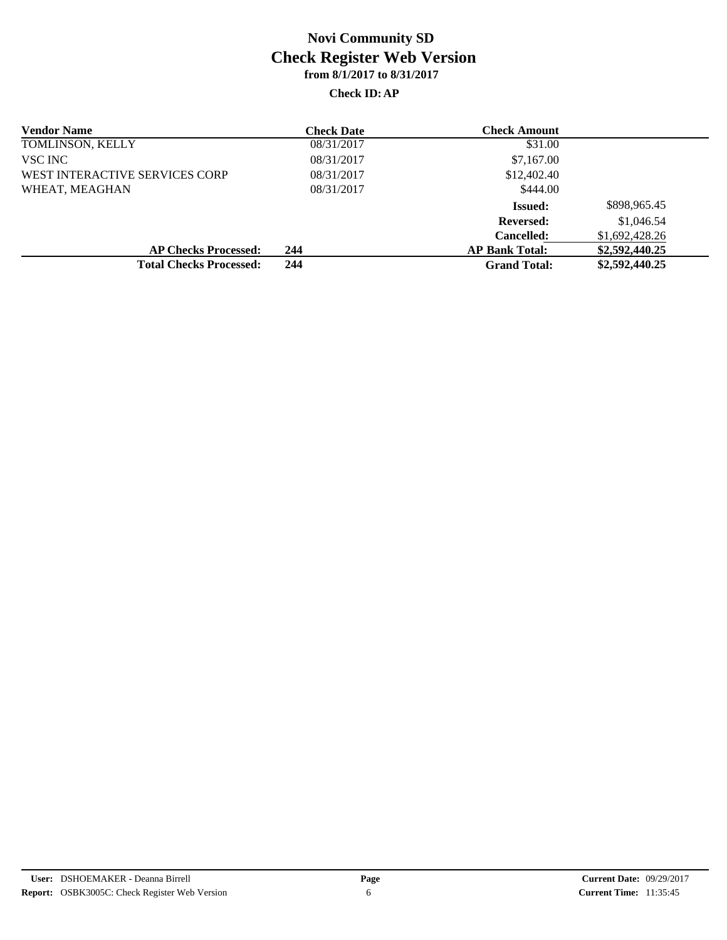| <b>Vendor Name</b>             | <b>Check Date</b> | <b>Check Amount</b>   |                |
|--------------------------------|-------------------|-----------------------|----------------|
| TOMLINSON, KELLY               | 08/31/2017        | \$31.00               |                |
| VSC INC                        | 08/31/2017        | \$7,167.00            |                |
| WEST INTERACTIVE SERVICES CORP | 08/31/2017        | \$12,402.40           |                |
| WHEAT, MEAGHAN                 | 08/31/2017        | \$444.00              |                |
|                                |                   | <b>Issued:</b>        | \$898,965.45   |
|                                |                   | <b>Reversed:</b>      | \$1,046.54     |
|                                |                   | <b>Cancelled:</b>     | \$1,692,428.26 |
| <b>AP Checks Processed:</b>    | 244               | <b>AP Bank Total:</b> | \$2,592,440.25 |
| <b>Total Checks Processed:</b> | 244               | <b>Grand Total:</b>   | \$2,592,440.25 |